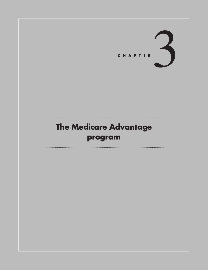

# **The Medicare Advantage program**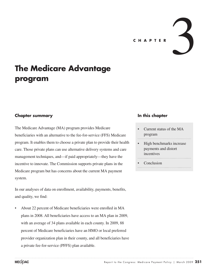# **The Medicare Advantage program**

#### **Chapter summary**

The Medicare Advantage (MA) program provides Medicare beneficiaries with an alternative to the fee-for-service (FFS) Medicare program. It enables them to choose a private plan to provide their health care. Those private plans can use alternative delivery systems and care management techniques, and—if paid appropriately—they have the incentive to innovate. The Commission supports private plans in the Medicare program but has concerns about the current MA payment system.

In our analyses of data on enrollment, availability, payments, benefits, and quality, we find:

• About 22 percent of Medicare beneficiaries were enrolled in MA plans in 2008. All beneficiaries have access to an MA plan in 2009, with an average of 34 plans available in each county. In 2009, 88 percent of Medicare beneficiaries have an HMO or local preferred provider organization plan in their county, and all beneficiaries have a private fee-for-service (PFFS) plan available.

#### **In this chapter**

- Current status of the MA program
- High benchmarks increase payments and distort incentives
- **Conclusion**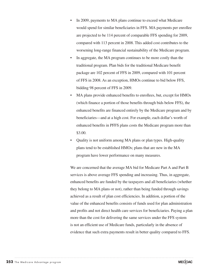- In 2009, payments to MA plans continue to exceed what Medicare would spend for similar beneficiaries in FFS. MA payments per enrollee are projected to be 114 percent of comparable FFS spending for 2009, compared with 113 percent in 2008. This added cost contributes to the worsening long-range financial sustainability of the Medicare program.
- In aggregate, the MA program continues to be more costly than the traditional program. Plan bids for the traditional Medicare benefit package are 102 percent of FFS in 2009, compared with 101 percent of FFS in 2008. As an exception, HMOs continue to bid below FFS, bidding 98 percent of FFS in 2009.
- MA plans provide enhanced benefits to enrollees, but, except for HMOs (which finance a portion of those benefits through bids below FFS), the enhanced benefits are financed entirely by the Medicare program and by beneficiaries—and at a high cost. For example, each dollar's worth of enhanced benefits in PFFS plans costs the Medicare program more than \$3.00.
- Quality is not uniform among MA plans or plan types. High-quality plans tend to be established HMOs; plans that are new in the MA program have lower performance on many measures.

We are concerned that the average MA bid for Medicare Part A and Part B services is above average FFS spending and increasing. Thus, in aggregate, enhanced benefits are funded by the taxpayers and all beneficiaries (whether they belong to MA plans or not), rather than being funded through savings achieved as a result of plan cost efficiencies. In addition, a portion of the value of the enhanced benefits consists of funds used for plan administration and profits and not direct health care services for beneficiaries. Paying a plan more than the cost for delivering the same services under the FFS system is not an efficient use of Medicare funds, particularly in the absence of evidence that such extra payments result in better quality compared to FFS.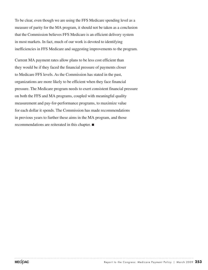To be clear, even though we are using the FFS Medicare spending level as a measure of parity for the MA program, it should not be taken as a conclusion that the Commission believes FFS Medicare is an efficient delivery system in most markets. In fact, much of our work is devoted to identifying inefficiencies in FFS Medicare and suggesting improvements to the program.

Current MA payment rates allow plans to be less cost efficient than they would be if they faced the financial pressure of payments closer to Medicare FFS levels. As the Commission has stated in the past, organizations are more likely to be efficient when they face financial pressure. The Medicare program needs to exert consistent financial pressure on both the FFS and MA programs, coupled with meaningful quality measurement and pay-for-performance programs, to maximize value for each dollar it spends. The Commission has made recommendations in previous years to further these aims in the MA program, and those recommendations are reiterated in this chapter. ■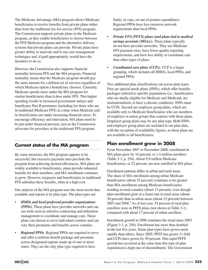The Medicare Advantage (MA) program allows Medicare beneficiaries to receive benefits from private plans rather than from the traditional fee-for-service (FFS) program. The Commission supports private plans in the Medicare program, as they enable beneficiaries to choose between the FFS Medicare program and the alternative delivery systems that private plans can provide. Private plans have greater ability to innovate and to use care management techniques and, if paid appropriately, would have the incentive to do so.

However, the Commission also supports financial neutrality between FFS and the MA program. Financial neutrality means that the Medicare program should pay the same amount for a defined set of services regardless of which Medicare option a beneficiary chooses. Currently, Medicare spends more under the MA program for similar beneficiaries than it does under FFS. This higher spending results in increased government outlays and beneficiary Part B premiums (including for those who are in traditional Medicare FFS) at a time when Medicare and its beneficiaries are under increasing financial stress. To encourage efficiency and innovation, MA plans need to be put under financial pressure, just as the Commission advocates for providers in the traditional FFS program.

## **Current status of the MA program**

By some measures, the MA program appears to be successful, but excessive payment rates preclude the program from achieving desired efficiencies. MA plans are widely available to beneficiaries, plans provide enhanced benefits for their members, and MA enrollment continues to grow. However, taxpayers and beneficiaries in traditional FFS subsidize these benefits, often at a high cost.

Our analysis of the MA program uses the most recent data available and reports it by plan type. The plan types are:

- *HMOs and local preferred provider organizations (PPOs)*. These plans have provider networks and can use tools such as selective contracting and utilization management to coordinate and manage care. These plans can choose to serve individual counties and can vary their premiums and benefits across counties.
- *Regional PPOs.* Regional PPOs are required to serve and offer a uniform benefit package and premium across designated regions made up of one or more states. They are the only plan type required to have

limits, or caps, on out-of-pocket expenditures. Regional PPOs have less extensive network requirements than local PPOs.

- *Private FFS (PFFS) plans (and plans tied to medical savings accounts (MSAs)).* These plans typically do not have provider networks. They use Medicare FFS payment rates, have fewer quality reporting requirements, and have less ability to coordinate care than other types of plans.
- *Coordinated care plans (CCPs).* CCP is a larger grouping, which includes all HMOs, local PPOs, and regional PPOs.

Two additional plan classifications cut across plan types. First are special needs plans (SNPs), which offer benefits packages tailored to specific populations (i.e., beneficiaries who are dually eligible for Medicare and Medicaid, are institutionalized, or have a chronic condition). SNPs must be CCPs. Second are employer group plans, which are available only to Medicare beneficiaries who are members of employer or union groups that contract with those plans. Employer group plans may be any plan type. Both SNPs and employer group plans are included in our plan data, with the exception of availability figures, as these plans are not available to all beneficiaries.

## **Plan enrollment grew in 2008**

From November 2007 to November 2008, enrollment in MA plans grew by 16 percent, or 1.4 million enrollees (Table 3-1, p. 256). About 9.9 million Medicare beneficiaries, or 22 percent, are now enrolled in MA plans.

Enrollment patterns differ in urban and rural areas. The share of MA enrollment among urban Medicare beneficiaries (about 25 percent) continues to be greater than MA enrollment among Medicare beneficiaries residing in rural counties (about 13 percent), even though plan enrollment grew at a faster rate in rural areas (about 30 percent) than in urban areas (about 15 percent) between  $2007$  and  $2008<sup>1</sup>$  As of last year, 54 percent of rural plan enrollees were in PFFS plans (not shown in Table 3-1), compared with about 17 percent of urban enrollees.

Enrollment growth in 2008 continues the trend since 2003 (Figure 3-1, p. 256). Enrollment has more than doubled in the last five years. Some plan types have grown more rapidly than others. Since 2005, PFFS has grown 11-fold and CCPs have grown by 50 percent. This rapid PFFS growth has occurred at the same time this type of plan experienced a high rate of disenrollment. The Government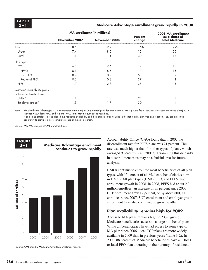#### **3–1 Medicare Advantage enrollment grew rapidly in 2008**

| <b>Percent</b><br>change<br>16%<br>15<br>30 | as a share of<br>total Medicare<br>22%<br>25 |
|---------------------------------------------|----------------------------------------------|
|                                             |                                              |
|                                             |                                              |
|                                             |                                              |
|                                             | 13                                           |
|                                             |                                              |
| 12                                          | 17                                           |
| 7                                           | 15                                           |
| 53                                          | 2                                            |
| 37                                          |                                              |
| 35                                          | 5                                            |
|                                             |                                              |
|                                             |                                              |
| 21                                          | 3                                            |
| 30                                          | 4                                            |
|                                             |                                              |

Note: MA (Medicare Advantage), CCP (coordinated care plan), PPO (preferred provider organization), PFFS (private fee-for-service), SNPs (special needs plans). CCP includes HMO, local PPO, and regional PPO. Totals may not sum due to rounding.

\* SNPs and employer group plans have restricted availability and their enrollment is included in the statistics by plan type and location. They are presented separately to provide a more complete picture of the MA program.

Source: MedPAC analysis of CMS enrollment files.

**F i g ure FIGURE**



Accountability Office (GAO) found that in 2007 the disenrollment rate for PFFS plans was 21 percent. This rate was much higher than for other types of plans, which averaged 9 percent (GAO 2008a). Examining this disparity in disenrollment rates may be a fruitful area for future analysis.

HMOs continue to enroll the most beneficiaries of all plan types, with 15 percent of all Medicare beneficiaries now in HMOs. All plan types (HMO, PPO, and PFFS) had enrollment growth in 2008. In 2008, PFFS had about 2.3 million enrollees, an increase of 35 percent since 2007. CCP enrollment grew 12 percent, or by about 800,000 enrollees since 2007. SNP enrollment and employer group enrollment have also continued to grow rapidly.

#### **Plan availability remains high for 2009**

Access to MA plans remains high in 2009, giving Medicare beneficiaries access to a large number of plans. While all beneficiaries have had access to some type of MA plan since 2006, local CCP plans are more widely available in 2009 than in previous years (Table 3-2). In 2009, 88 percent of Medicare beneficiaries have an HMO or local PPO plan operating in their county of residence,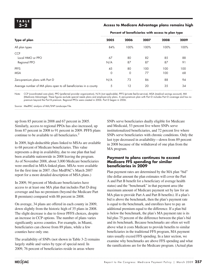#### **3–2 Access to Medicare Advantage plans remains high**

**Percent of beneficiaries with access to plan type**

| <b>Type of plan</b>                                              | 2005     | 2006     | 2007 | 2008 | 2009 |
|------------------------------------------------------------------|----------|----------|------|------|------|
| All plan types                                                   | 84%      | 100%     | 100% | 100% | 100% |
| <b>CCP</b>                                                       |          |          |      |      |      |
| Local HMO or PPO                                                 | 67       | 80       | 82   | 85   | 88   |
| Regional PPO                                                     | N/A      | 87       | 87   | 87   | 91   |
| <b>PFFS</b>                                                      | 45       | 80       | 100  | 100  | 100  |
| <b>MSA</b>                                                       | $\Omega$ | $\Omega$ | 77   | 100  | 68   |
| Zero-premium plans with Part D                                   | N/A      | 73       | 86   | 88   | 94   |
| Average number of MA plans open to all beneficiaries in a county | 5        | 12       | 20   | 35   | 34   |
|                                                                  |          |          |      |      |      |

Note: CCP (coordinated care plan), PPO (preferred provider organization), N/A (not applicable), PFFS (private fee-for-service), MSA (medical savings account), MA (Medicare Advantage). These figures exclude special needs plans and employer-only plans. A zero-premium plan with Part D includes Part D coverage and has no premium beyond the Part B premium. Regional PPOs were created in 2006. Part D began in 2006.

Source: MedPAC analysis of MA/SNP Landscape File.

up from 85 percent in 2008 and 67 percent in 2005. Similarly, access to regional PPOs has also increased, up from 87 percent in 2008 to 91 percent in 2009. PFFS plans continue to be available to all beneficiaries.<sup>2</sup>

In 2009, high-deductible plans linked to MSAs are available to 68 percent of Medicare beneficiaries. This value represents a drop in availability, due to one plan that had been available nationwide in 2008 leaving the program. As of November 2008, about 3,000 Medicare beneficiaries were enrolled in MSA-linked plans. MSAs were available for the first time in 2007. (See MedPAC's March 2007 report for a more detailed description of MSA plans.)

In 2009, 94 percent of Medicare beneficiaries have access to at least one MA plan that includes Part D drug coverage and has no premium (beyond the Medicare Part B premium) compared with 88 percent in 2008.

On average, 34 plans are offered in each county in 2009, down slightly from the historic high of 35 plans in 2008. The slight decrease is due to fewer PFFS choices, despite an increase in CCP options. The number of plans varies significantly across counties. For example, in Miami, beneficiaries can choose from 89 plans, while a few counties have only one.

The availability of SNPs (not shown in Table 3-2) remains largely stable and varies by type of special need. In 2009, 76 percent of beneficiaries reside in areas where

SNPs serve beneficiaries dually eligible for Medicare and Medicaid, 53 percent live where SNPs serve institutionalized beneficiaries, and 72 percent live where SNPs serve beneficiaries with chronic conditions. Only the last type decreased in availability—down from 89 percent in 2008 because of the withdrawal of one plan from the MA program.

#### **Payment to plans continues to exceed Medicare FFS spending for similar beneficiaries in 2009**

Plan payment rates are determined by the MA plan "bid" (the dollar amount the plan estimates will cover the Part A and Part B benefit for a beneficiary of average health status) and the "benchmark" in that payment area (the maximum amount of Medicare payment set by law for an MA plan to provide Part A and Part B benefits). If a plan's bid is above the benchmark, then the plan's payment rate is equal to the benchmark, and enrollees have to pay an additional premium equal to the difference. If a plan bid is below the benchmark, the plan's MA payment rate is its bid plus 75 percent of the difference between the plan's bid and its benchmark. Because benchmarks are often set well above what it costs Medicare to provide benefits to similar beneficiaries in the traditional FFS program, MA payment rates usually exceed FFS spending. In a later section, we examine why benchmarks are above FFS spending and what the ramifications are for the Medicare program. (Actual plan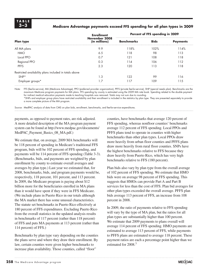#### **3–3 Medicare Advantage payments exceed FFS spending for all plan types in 2009**

|                                                        | <b>Enrollment</b><br>November 2008<br>(in millions) | Percent of FFS spending in 2009 |             |                 |
|--------------------------------------------------------|-----------------------------------------------------|---------------------------------|-------------|-----------------|
| <b>Plan type</b>                                       |                                                     | <b>Benchmarks</b>               | <b>Bids</b> | <b>Payments</b> |
| All MA plans                                           | 9.9                                                 | 118%                            | 102%        | 114%            |
| <b>HMO</b>                                             | 6.5                                                 | 118                             | 98          | 113             |
| Local PPO                                              | 0.7                                                 | 121                             | 108         | 118             |
| Regional PPO                                           | 0.3                                                 | 114                             | 106         | 112             |
| <b>PFFS</b>                                            | 2.3                                                 | 120                             | 113         | 118             |
| Restricted availability plans included in totals above |                                                     |                                 |             |                 |
| $SNP*$                                                 | 1.3                                                 | 122                             | 99          | 116             |
| Employer groups*                                       | .7                                                  | 117                             | 109         | 115             |

Note: FFS (fee-for-service), MA (Medicare Advantage), PPO (preferred provider organization), PFFS (private fee-for-service), SNP (special needs plan). Benchmarks are the maximum Medicare program payments for MA plans. FFS spending by county is estimated using the 2009 MA rate book. Spending related to the double payment for indirect medical education payments made to teaching hospitals was removed. Totals may not sum due to rounding. \*SNPs and employer group plans have restricted availability and their enrollment is included in the statistics by plan type. They are presented separately to provide

a more complete picture of the MA program.

Source: MedPAC analysis of data from CMS on plan bids, enrollment, benchmarks, and fee-for-service expenditures.

payments, as opposed to payment rates, are risk adjusted. A more detailed description of the MA program payment system can be found at http://www.medpac.gov/documents/ MedPAC\_Payment\_Basics\_08\_MA.pdf.)

We estimate that, on average, 2009 MA benchmarks will be 118 percent of spending in Medicare's traditional FFS program, bids will be 102 percent of FFS spending, and payments will be 114 percent of FFS spending (Table 3-3). (Benchmarks, bids, and payments are weighted by plan enrollment by county to estimate overall averages and averages by plan type.) Last year we estimated that, for 2008, benchmarks, bids, and program payments would be, respectively, 118 percent, 101 percent, and 113 percent. In 2009, the Medicare program is paying about \$12 billion more for the beneficiaries enrolled in MA plans than it would have spent if they were in FFS Medicare. (We include plans in Puerto Rico in our totals although the MA market there has some unusual characteristics. The statute set benchmarks in Puerto Rico effectively at 180 percent of FFS expenditures. Excluding Puerto Rico from the overall statistics in the updated analysis results in benchmarks of 117 percent (rather than 118 percent) of FFS and puts MA payments at 113 percent (rather than 114 percent) of FFS.)

Benchmarks by plan type vary depending on the counties the plans serve and where they draw their enrollment. By law, certain counties were given higher benchmarks to increase plan availability. Those counties, called "floor"

counties, have benchmarks that average 120 percent of FFS spending, whereas nonfloor counties' benchmarks average 112 percent of FFS spending. Local PPOs and PFFS plans tend to operate in counties with higher benchmarks than other plan types. Local PPOs draw more heavily from urban floor counties and PFFS plans draw more heavily from rural floor counties. SNPs have the highest benchmarks relative to FFS because they draw heavily from Puerto Rico, which has very high benchmarks relative to FFS (180 percent).

Plan bids also vary by plan type from the overall average of 102 percent of FFS spending. We estimate that HMO bids were on average 98 percent of FFS spending. This suggests that HMOs can provide Part A and Part B services for less than the cost of FFS. Plan bid averages for other plan types exceeded the overall average. PFFS plan bids average 113 percent of FFS, an increase from 108 percent in 2008.

In 2009, the ratio of payments relative to FFS spending will vary by the type of MA plan, but the ratios for all plan types are substantially higher than 100 percent. We estimate that 2009 payments to plans overall will average 114 percent of FFS spending. HMO payments are estimated to average 113 percent of FFS, while payments to PFFS plans are estimated to average 118 percent. These payment ratios are each a percentage point higher than we estimated for 2008.3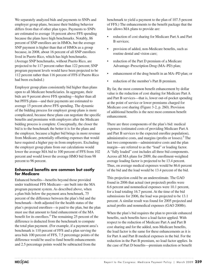We separately analyzed bids and payments to SNPs and employer group plans, because their bidding behavior differs from that of other plan types. Payments to SNPs are estimated to average 16 percent above FFS spending because the plans have high benchmarks. Notably, 86 percent of SNP enrollees are in HMOs, but the average SNP payment is higher than that of HMOs as a group because, in 2008, about 16 percent of all SNP enrollees lived in Puerto Rico, which has high benchmarks. (Average SNP benchmarks, without Puerto Rico, are projected to be 117 percent rather than 122 percent; SNP program payment levels would have been projected to be 112 percent rather than 116 percent of FFS if Puerto Rico had been excluded.)

Employer group plans consistently bid higher than plans open to all Medicare beneficiaries. In aggregate, their bids are 9 percent above FFS spending—higher than all but PFFS plans—and their payments are estimated to average 15 percent above FFS spending. The dynamic of the bidding process for employer group plans is more complicated, because these plans can negotiate the specific benefits and premiums with employers after the Medicare bidding process is complete. Conceptually, the closer the bid is to the benchmark the better it is for the plans and the employer, because a higher bid brings in more revenue from Medicare, potentially offsetting expenses that would have required a higher pay-in from employers. Excluding the employer group plans from our calculations would lower the average MA bid to 100 percent of FFS from 102 percent and would lower the average HMO bid from 98 percent to 96 percent.

#### **Enhanced benefits are common but costly for Medicare**

Enhanced benefits—benefits beyond those provided under traditional FFS Medicare—are built into the MA program payment system. As described above, when a plan bids below the payment area benchmark, 75 percent of the difference between the plan's bid and the benchmark—both adjusted for the health status of the plan's projected enrollees—is paid to the plan, but the plan must use that amount to fund enhancement of the MA benefit for its enrollees.<sup>4</sup> The remaining 25 percent of the difference is deducted from the benchmark to compute the total plan payment. (For example, if a payment area's benchmark is 110 percent of FFS and a plan serving the area bids 100 percent of FFS, 7.5 percentage points of the difference would be used to fund benefit enhancements and 2.5 percentage points would be subtracted from the

benchmark to yield a payment to the plan of 107.5 percent of FFS.) The enhancements to the benefit package that the law allows MA plans to provide are:

- reduction of cost sharing for Medicare Part A and Part B services;
- provision of added, non-Medicare benefits, such as routine dental and vision care;
- reduction of the Part D premium of a Medicare Advantage–Prescription Drug (MA–PD) plan;
- enhancement of the drug benefit in an MA–PD plan; or
- reduction of the member's Part B premium.

By far, the most common benefit enhancement by dollar value is the reduction of cost sharing for Medicare Part A and Part B services—that is, lower out-of-pocket spending at the point of service or lower premiums charged for Medicare cost sharing (Figure 3-2, p. 260). Provision of additional benefits is the next most common benefit enhancement.

There are three components of the plan's bid: medical expenses (estimated costs of providing Medicare Part A and Part B services to the expected enrollee population), administrative costs, and margins (profits or losses).<sup>5</sup> The last two components—administrative costs and the plan margin—are referred to as the "load" or loading factor. A "fully loaded" cost includes all three bid components. Across all MA plans for 2009, the enrollment-weighted average loading factor is projected to be 13.4 percent. Thus, on average medical expenses would be 86.6 percent of the bid and the load would be 13.4 percent of the bid.

This projection could be an underestimate. The GAO found in 2006 that actual (not projected) profits were 6.6 percent and nonmedical expenses were 10.1 percent, for a load totaling 16.7 percent. At the time of the bid submissions for 2006, the load was projected to be 13.1 percent. A similar result was found for 2005 projected and actual profits and nonmedical expenses (GAO 2008b).

When the plan's bid requires the plan to provide enhanced benefits, such benefits have a load factor applied. With respect to the reduction of Medicare Part A and Part B cost sharing and for the added, non-Medicare benefits, the load factor is the same for these enhancements as it is for Part A and Part B medical expenses in the bid. For the reduction in the Part B premium, no load factor applies. In the case of Part D benefits—premium reduction or benefit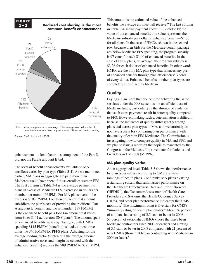

enhancement—a load factor is a component of the Part D bid, not the Part A and Part B bid.

The level of benefit enhancements available to MA enrollees varies by plan type (Table 3-4). As we mentioned earlier, MA plans in aggregate are paid more than Medicare would have spent if those enrollees were in FFS. The first column in Table 3-4 is the average payment to plans in excess of Medicare FFS, expressed in dollars per member per month (PMPM). For MA plans overall, the excess is \$103 PMPM. Fourteen dollars of that amount subsidizes the plan's cost of providing the traditional Part A and Part B benefit, and the remainder (\$89 PMPM) is the enhanced benefit plus load (an amount that varies from \$0 to \$441 across non-SNP plans). The amount spent on enhanced benefits varies by plan type, with HMOs spending \$115 PMPM (benefit plus load), almost three times the \$40 PMPM for PFFS plans. Adjusting for the average loading factor (subtracting the average amount of administrative costs and margin associated with the enhanced benefits) reduces the \$89 PMPM to \$79 PMPM.

This amount is the estimated value of the enhanced benefits the average enrollee will receive.<sup>6</sup> The last column in Table 3-4 shows payment above FFS divided by the value of the enhanced benefit; this value represents the Medicare subsidy per dollar of enhanced benefit—\$1.30 for all plans. In the case of HMOs, shown in the second enhancement row, because their bids for the Medicare benefit package are below Medicare FFS spending, the program subsidy is 97 cents for each \$1.00 of enhanced benefits. In the case of PFFS plans, on average, the program subsidy is \$3.26 for each dollar of enhanced benefits. In other words, HMOs are the only MA plan type that finances any part rhives are the only MA plan type that miances any part of enhanced benefits through plan efficiencies: 3 cents of every dollar. Enhanced benefits in other plan types are completely subsidized by Medicare.

#### **Quality**

Paying a plan more than the cost for delivering the same services under the FFS system is not an efficient use of Medicare funds, particularly in the absence of evidence that such extra payments result in better quality compared to FFS. However, making such a determination is difficult, because the indicators of quality differ greatly among plans and across plan types in MA, and we currently do not have a basis for comparing plan performance with the quality of care in FFS Medicare. The Commission is investigating how to compare quality in MA and FFS, and we plan to issue a report on that topic as mandated by the Congress in the Medicare Improvements for Patients and Providers Act of 2008 (MIPPA).

#### **MA plan quality varies**

At an aggregated level, Table 3-5 shows that performance by plan types differs according to CMS's relative rankings of health plans. CMS ranks MA plans by using a star rating system that summarizes performance on the Healthcare Effectiveness Data and Information Set (HEDIS®), the Consumer Assessment of Health Care Providers and Systems, the Health Outcomes Survey (HOS), and other plan performance indicators that CMS monitors.7 The maximum rating is five stars for CMS's "summary rating of health plan quality." About 36 percent of all plans had a rating of 3.5 stars or better in 2008; 51 percent of established HMOs (those that have been Medicare contractors since 2003 or earlier) had a rating of 3.5 stars or better in 2008 compared with 21 percent of new HMOs (those that began contracting with Medicare in 2004 or later).8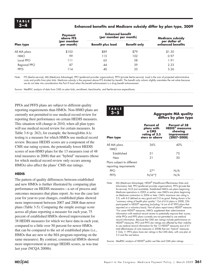#### **3–4 Enhanced benefits and Medicare subsidy differ by plan type, 2009**

|                  | Payment<br>above FFS      | <b>Enhanced benefit</b><br>(per member per month) | Medicare subsidy<br>per dollar of |                   |
|------------------|---------------------------|---------------------------------------------------|-----------------------------------|-------------------|
| <b>Plan type</b> | (per member<br>per month) | <b>Benefit plus load</b>                          | <b>Benefit only</b>               | enhanced benefits |
| All MA plans     | \$103                     | \$89                                              | \$79                              | \$1.30            |
| <b>HMO</b>       | 99                        | 1.5                                               | 102                               | 0.97              |
| Local PPO        |                           | 65                                                | 58                                | l.91              |
| Regional PPO     | 87                        | 44                                                | 39                                | 2.23              |
| <b>PFFS</b>      | 14                        |                                                   | 35                                | 3.26              |

Note: FFS (fee-for-service), MA (Medicare Advantage), PPO (preferred provider organization), PFFS (private fee-for-service). Load is the sum of projected administrative costs and profits from plan bids. Medicare subsidy is the payment above FFS divided by benefit. The benefit only column slightly overstates the net value because we do not take into consideration the Part D load when the benefit enhancement is a drug benefit enhancement.

Source: MedPAC analysis of data from CMS on plan bids, enrollment, benchmarks, and fee-for-service expenditures.

PPOs and PFFS plans are subject to different quality reporting requirements than HMOs. Non-HMO plans are currently not permitted to use medical record review for reporting their performance on certain HEDIS measures. This situation will change in 2010, when all plan types will use medical record review for certain measures. In Table 3-6 (p. 262), for example, the hemoglobin A1c testing is a measure for which HMOs use medical record review. Because HEDIS scores are a component of the CMS star rating system, the potentially lower HEDIS scores of non-HMO plans for the 13 measures (out of 48 total measures in 2008) that are "hybrid" measures (those for which medical record review only occurs among HMOs) also affect the plans' CMS star ratings.

#### **HEDIS**

The pattern of quality differences between established and new HMOs is further illustrated by comparing plan performance on HEDIS measures—a set of process and outcomes measures that plans report. As was the case last year for year-to-year changes, established plans showed more improvement between 2007 and 2008 than newer plans (Table 3-5). Comparing the simple average score across all plans reporting a measure for each year, 75 percent of established HMOs showed improvement for 38 HEDIS measures for which we have data in each year, compared to a little over 50 percent for newer HMOs that can be compared to the set of established plans (i.e., HMOs that are new to the MA program reporting on the same measures). By contrast, commercial HMOs showed more improvement in average HEDIS scores, as was true last year (NCQA 2008b).

## **T ABL E**

#### **3–5 Aggregate MA quality differs by plan type**

| Plan type                                            | Percent of<br>plans with<br>a CMS<br>rating of 3.5<br>stars or above | <b>Percent of 38</b><br><b>HEDIS<sup>®</sup></b> measures<br>showing<br>improvement<br>(2007–2008) |
|------------------------------------------------------|----------------------------------------------------------------------|----------------------------------------------------------------------------------------------------|
| All MA plans                                         | 36%                                                                  | $\Delta$ <sup>O</sup> %                                                                            |
| HMO                                                  |                                                                      |                                                                                                    |
| <b>Established</b>                                   | .51                                                                  | 75                                                                                                 |
| New                                                  | 21                                                                   | 50                                                                                                 |
| Plans subject to different<br>reporting requirements |                                                                      |                                                                                                    |
| PPO                                                  | $27*$                                                                | N/A                                                                                                |
| <b>PFFS</b>                                          |                                                                      |                                                                                                    |

Note: MA (Medicare Advantage), HEDIS® (Healthcare Effectiveness Data and Information Set), PPO (preferred provider organization), PFFS (private feefor-service), N/A (not available). Established HMOs are plans beginning Medicare operations in 2003 or earlier; new HMOs are plans beginning as Medicare contractors in 2004 or later. CMS's maximum star rating is 5.0, with 4.0 defined as very good and 3.0 as good. Rating shown is for "summary rating of health plan quality." Out of 616 plans in 2008, 336 participated in HEDIS<sup>®</sup> reporting (including 14 out of 47 PFFS plans that reported on a voluntary basis). Not all plans report every HEDIS® measure. \*For some HEDIS® measures, HMOs supplement their administrative information with medical record review to potentially improve their scores, while PPOs and PFFS plans currently are not permitted to use medical record information. Because the CMS star ratings include performance on HEDIS<sup>®</sup> measures, PPO and PFFS star ratings are affected by their inability to use medical record information for the 13 HEDIS® measures (out of 41 total effectiveness of care measures in 2008) that are "hybrid" measures. † Only 11 PFFS plans have star ratings in the CMS data, with one plan at 3.5 and the rest below.

Source: MedPAC analysis of HEDIS<sup>®</sup> public use files and CMS plan ratings.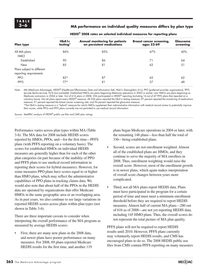#### **3–6 MA performance on individual quality measures differs by plan type**

| <b>Plan type</b>           | <b>HbA1c</b><br>testing* | Annual monitoring for patients<br>on persistent medications | <b>Breast cancer screening,</b><br>ages 52-69 | Glaucoma<br>screening |
|----------------------------|--------------------------|-------------------------------------------------------------|-----------------------------------------------|-----------------------|
| All MA plans               | 86%                      | 85%                                                         | 67%                                           | 60%                   |
| <b>HMO</b>                 |                          |                                                             |                                               |                       |
| Established                | 90                       | 86                                                          |                                               | 64                    |
| New                        | 85                       | 81                                                          | 62                                            | 51                    |
| Plans subject to different |                          |                                                             |                                               |                       |
| reporting requirements     |                          |                                                             |                                               |                       |
| <b>PPO</b>                 | $82*$                    | 87                                                          | 65                                            | 62                    |
| <b>PFFS</b>                | $77*$                    | 81                                                          | 57                                            | 48                    |

|  |  | HEDIS $^\circledast$ 2008 rates on selected individual measures for reporting plans |  |
|--|--|-------------------------------------------------------------------------------------|--|
|--|--|-------------------------------------------------------------------------------------|--|

Note: MA (Medicare Advantage), HEDIS® (Healthcare Effectiveness Data and Information Set), HbA1c (hemoglobin A1c), PPO (preferred provider organization), PFFS (private fee-for-service), N/A (not available). Established HMOs are plans beginning Medicare operations in 2003 or earlier; new HMOs are plans beginning as Medicare contractors in 2004 or later. Out of 616 plans in 2008, 336 participated in HEDIS® reporting (including 14 out of 47 PFFS plans that reported on a voluntary basis). Not all plans report every HEDIS<sup>®</sup> measure. All 336 plans reported the HbA1c testing measure; 97 percent reported the monitoring of medications measure; 91 percent reported the breast cancer screening rate; and 94 percent reported the glaucoma measure.

\*The HbA1c testing measure is a "hybrid" measure for which HMOs supplement their administrative information with medical record review to potentially improve their scores, while PPOs and PFFS plans currently are not permitted to use medical record information.

Source: MedPAC analysis of HEDIS® public use files and CMS plan ratings.

Performance varies across plan types within MA (Table 3-6). The MA data for 2008 include HEDIS scores reported by HMOs, PPOs, and—for the first time—PFFS plans (with PFFS reporting on a voluntary basis). The scores for established HMOs on individual HEDIS measures are generally higher than for each of the other plan categories (in part because of the inability of PPO and PFFS plans to use medical record information in reporting their scores for hybrid measures). However, for some measures PPO plans have scores equal to or higher than HMO plans, which may reflect the administrative capabilities of PPO plans in tracking claims data. We would also note that about half of the PPOs in the HEDIS data are operated by organizations that offer Medicare HMOs in the same geographic area or an overlapping area. As in past years, we also continue to see large variations in reported HEDIS scores across plans within plan types (not shown in Table 3-6).

There are three important caveats to consider when interpreting the overall performance of the MA program as measured by average HEDIS scores:

• First, there are many new plans in the 2008 data, and newer plans have poorer performance on many measures. For 2008, 69 plans reported Medicare HEDIS results for the first time, and another 119

plans began Medicare operations in 2004 or later, with the remaining 148 plans—less than half the total of 336—being established plans.

- Second, scores are not enrollment weighted. Almost all of the established plans are HMOs, and they continue to serve the majority of MA enrollees in 2008. Thus, enrollment weighting would raise the overall score. However, most of the enrollment growth is in newer plans, which again makes interpretation of overall score changes between years more complicated.
- Third, not all MA plans report HEDIS data. Plans must have participated in the program for a certain period of time and must meet a minimum enrollment threshold before they are required to report HEDIS measures. Almost half of current MA plans—280 out of 616 as of 2008—are not yet reporting HEDIS data, including 145 HMO plans. Thus, the overall scores do not represent the total picture of MA plan quality.

PFFS plans will not be required to report HEDIS results until 2010. However, PFFS plans currently may voluntarily report HEDIS results, and CMS has encouraged plans to do so. The 2008 HEDIS public use files from CMS contain PFFS reporting on many measures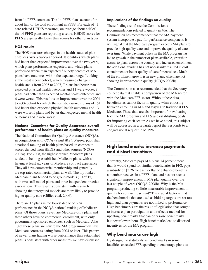from 14 PFFS contracts. The 14 PFFS plans account for about half of the total enrollment in PFFS. For each of 41 care-related HEDIS measures, on average about half of the 14 PFFS plans are reporting a score. HEDIS scores for PFFS are generally lower than scores for other plan types.

#### **HOS results**

The HOS measures changes in the health status of plan enrollees over a two-year period. It identifies which plans had better than expected improvement over the two years, which plans performed as expected, and which plans performed worse than expected.<sup>9</sup> Ninety percent of MA plans have outcomes within the expected range. Looking at the most recent cohort, which measured change in health status from 2005 to 2007, 7 plans had better than expected physical health outcomes and 11 were worse; 8 plans had better than expected mental health outcomes and 6 were worse. This result is an improvement over the 2004 to 2006 cohort for which the statistics were: 2 plans of 151 had better than expected physical health outcomes and 13 were worse; 5 plans had better than expected mental health outcomes and 7 were worse.

#### **National Committee for Quality Assurance overall performance of health plans on quality measures**

The National Committee for Quality Assurance (NCQA), in conjunction with *US News and World Report*, publishes a national ranking of health plans based on composite scores derived from HEDIS and other sources (NCQA 2008a). For 2008, the highest ranked Medicare plans tended to be long-established Medicare plans, with all having at least six years of Medicare contract experience. They all have commercial membership and generally are top-rated commercial plans as well. The top-ranked Medicare plans tended to be group models (10 of 15), with two staff model plans and three independent practice associations. This result is consistent with research showing that integrated models are more likely to provide higher quality care (Gillies et al. 2006).

There are 15 plans in the lowest decile of plan performance in the NCQA national ranking of Medicare plans. Of those plans, seven are Medicare-only plans and three others have no commercial enrollment, with only government-sponsored enrollees, such as Medicaid. Also 10 of these plans are new to the MA program—they have Medicare contracts dating from 2004 or later. This pattern of newer plans having worse performance than established plans is consistent with other measures we have discussed.

#### **Implications of the findings on quality**

These findings reinforce the Commission's recommendations related to quality in MA. The Commission has recommended that the MA payment system incorporate a pay-for-performance component. It will signal that the Medicare program expects MA plans to provide high-quality care and improve the quality of care over time. While payment policy in the MA program has led to growth in the number of plans available, growth in access to plans across the country, and increased enrollment, the additional funding has not necessarily resulted in cost containment or better quality of care for enrollees. Much of the enrollment growth is in new plans, which are not showing improvement in quality (NCQA 2008b).

The Commission also recommended that the Secretary collect data that enable a comparison of the MA sector with the Medicare FFS sector. Without these data, beneficiaries cannot factor in quality when choosing between enrolling in MA and staying in traditional FFS Medicare. These data are also important for evaluating both the MA program and FFS and establishing goals for improving each sector. As we have noted, this subject will be addressed in a separate report that responds to a congressional request in MIPPA.

### **High benchmarks increase payments and distort incentives**

Currently, Medicare pays MA plans 14 percent more than it would spend for similar beneficiaries in FFS, pays a subsidy of \$3.26 for each dollar of enhanced benefits a member receives in a PFFS plan, and has not seen a significant improvement in MA plan quality over the last couple of years (NCQA 2008b). Why is the MA program producing so little measurable improvement in quality for so much payment? The crucial factor is that the benchmarks that are used as bidding targets are set too high, and plan payments are not linked to performance. High benchmarks are the result of legislation that sought to increase plan participation and reflect a method for updating benchmarks that can only raise benchmarks but never lower them. High benchmarks lead to distorted incentives for the MA program.

#### **Why benchmarks are high**

By design, the statutorily set benchmarks in some localities exceeded FFS spending to encourage plans to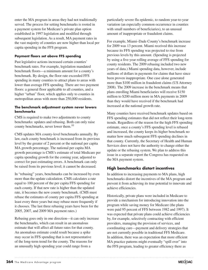enter the MA program in areas they had not traditionally served. The process for setting benchmarks is rooted in a payment system for Medicare's private plan option established in 1997 legislation and modified through subsequent legislation. As a result, MA payment rates in the vast majority of counties are now higher than local per capita spending in the FFS program.

#### **Payment floors set above FFS spending**

Past legislative actions increased certain counties' benchmark rates. For example, legislation mandated benchmark floors—a minimum amount for a county's benchmark. By design, the floor rate exceeded FFS spending in many counties to attract plans to areas with lower than average FFS spending. There are two payment floors: a general floor applicable to all counties, and a higher "urban" floor, which applies only to counties in metropolitan areas with more than 250,000 residents.

#### **The benchmark adjustment system never lowers benchmarks**

CMS is required to make two adjustments to county benchmarks: updates and rebasing. Both can only raise county benchmarks, never lower them.<sup>10</sup>

CMS updates MA county-level benchmarks annually. By law, each county benchmark is increased from its previous level by the greater of 2 percent or the national per capita MA growth percentage. The national per capita MA growth percentage is CMS's estimate of total Medicare per capita spending growth for the coming year, adjusted to correct for past estimating errors. A benchmark can only be raised from its previous level; it cannot be decreased.

In "rebasing" years, benchmarks can be increased by even more than the update calculation. CMS calculates a rate equal to 100 percent of the per capita FFS spending for each county. If that new rate is higher than the updated rate, it becomes the new county benchmark. (CMS must rebase the estimates of county per capita FFS spending at least every three years but may rebase more frequently if it chooses. The last three rebasing years have been for the 2005, 2007, and 2009 MA payment rates.)

Rebasing goes only in one direction—it can only increase the benchmarks, which can result in an anomalous estimate that will affect all future rates for that county. An anomalous estimate could result because a spike may occur in FFS spending that is not representative of the long-term trend for the county. The reasons for an unusually high spending year could range from a

particularly severe flu epidemic, to random year-to-year variation (an especially common occurrence in counties with small numbers of beneficiaries), to an unusual amount of inappropriate or fraudulent claims.

For example, Miami–Dade County's benchmark increase for 2009 was 13 percent. Miami received this increase because its FFS spending was projected to rise from previous levels by this amount. (Spending is projected by using a five-year rolling average of FFS spending for county residents. The 2009 rebasing included two new years of data.) Miami spending data, however, include millions of dollars in payments for claims that have since been proven inappropriate. One case alone generated more than \$100 million in fraudulent claims (US Attorney 2008). The 2009 increase in the benchmark means that plans enrolling Miami beneficiaries will receive \$150 million to \$200 million more in MA payments in 2009 than they would have received if the benchmark had increased at the national growth rate.

Many counties have received benchmark updates based on FFS spending estimates that did not reflect their long-term trends. Regardless of the reason for the high FFS spending estimate, once a county's FFS spending level is rebased and increased, the county keeps its higher benchmark no matter how much subsequent FFS spending declines in that county. Currently, the Secretary of Health and Human Services does not have the authority to change either the update or the rebasing system. We plan to address this issue in a separate report the Congress has requested on the MA payment system.

#### **High benchmarks distort incentives**

In addition to increasing payments to MA plans, high benchmarks distort the incentives of the MA program and prevent it from achieving its true potential to innovate and achieve efficiencies.

Historically, private plans were included in Medicare to provide a mechanism for introducing innovation into the program while saving money for Medicare (the plans were paid 95 percent of FFS between 1982 and 1997). It was expected that private plans could achieve efficiencies by, for example, selectively contracting with efficient providers, managing the provision of services, and coordinating care—payment and delivery strategies that are not currently possible in traditional FFS Medicare. In addition, there was an expectation that more efficient MA practice patterns might eventually "spill over" into the FFS program, leading to greater efficiency there as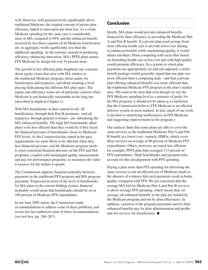well. However, with payment levels significantly above traditional Medicare, the original concept of private plan efficiency linked to innovation has been lost. As a result, Medicare spending for the same care is considerably more in MA compared to FFS, and the enhanced benefits received by less than a quarter of all Medicare beneficiaries are, in aggregate, worth significantly less than the additional spending. At the extreme, instead of producing efficiency-enhancing innovation, MA's PFFS plans mimic FFS Medicare by design but cost 18 percent more.

The growth in less efficient plans heightens our concerns about equity issues that arise with MA relative to the traditional Medicare program, about equity for beneficiaries and taxpayers, and about ensuring a level playing field among the different MA plan types. The equity and efficiency issues are of particular concern when Medicare is not financially sustainable in the long run (described in depth in Chapter 1).

With MA benchmarks at their current levels, all beneficiaries, through their Part B premium—and all taxpayers, through general revenues—are subsidizing the MA enhanced benefits. The high MA benchmarks allow plans to be less efficient than they would be if they faced the financial pressure of benchmarks closer to Medicare FFS levels. As the Commission has stated in the past, organizations are more likely to be efficient when they face financial pressure, and the Medicare program needs to exert consistent financial pressure on the FFS and MA programs, coupled with meaningful quality measurement and pay-for-performance programs, to maximize the value it receives for the dollars it spends.

The Commission supports financial neutrality between payments in the traditional FFS program and MA program payments. Expressed in terms of the level of benchmarks for MA plans in the current bidding system, financial neutrality would mean that benchmarks should be set at 100 percent of Medicare FFS expenditures.

In our June 2005 report, the Commission made recommendations to address some of these problems, and recent law has embraced some of those recommendations (see text box, pp. 266–267).

## **Conclusion**

Ideally, MA plans would provide enhanced benefits financed by their efficiency in providing the Medicare Part A and Part B benefit. If a private plan used savings from more efficient health care to provide lower cost sharing or enhanced benefits while maintaining quality, it would attract enrollees. Plans competing with each other based on furnishing health care at low cost and with high quality would promote efficiency. In a system in which plan payments are appropriately set and risk adjusted, a richer benefit package would generally signal that one plan was more efficient than a competing plan—and that a private plan offering enhanced benefits was more efficient than the traditional Medicare FFS program in the plan's market area. (We want to be clear that even though we use the FFS Medicare spending level as a measure of parity for the MA program, it should not be taken as a conclusion that the Commission believes FFS Medicare is an efficient delivery system in most markets. In fact, much of our work is devoted to identifying inefficiencies in FFS Medicare and suggesting improvements in the program.)

Our analysis finds that some plans are able to cover the same services as the traditional Medicare Part A and Part B benefit at a lower cost—namely, HMOs, which cover these services on average at 98 percent of Medicare FFS expenditures. Others, however, are much less efficient; for example, PFFS plan bids averaged 113 percent of FFS expenditures. High benchmarks and payment rules account for this misalignment with FFS spending.

Paying a plan more than FFS spending for delivering the same services is not an efficient use of Medicare funds in the absence of evidence that such payments result in better quality compared with FFS. We are concerned that the average MA bid for Medicare Part A and Part B services is above average FFS spending, which means that, on average, all enhanced benefits in the plan are funded by the Medicare program and not by plan efficiencies. In addition, a portion of the program payments used to fund enhanced benefits pay for plan administration and profits and not services for beneficiaries. ■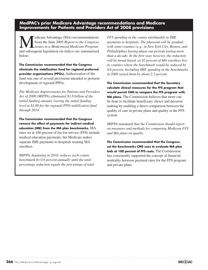**MedPAC's prior Medicare Advantage recommendations and Medicare Improvements for Patients and Providers Act of 2008 provisions**

edicare Advantage (MA) recommendations from the June 2005 *Report to the Congress: Issues in a Modernized Medicare Program* and subsequent legislation (in italics) are summarized below:

**The Commission recommended that the Congress eliminate the stabilization fund for regional preferred provider organizations (PPOs).** Authorization of the fund was one of several provisions intended to promote development of regional PPOs.

*The Medicare Improvements for Patients and Providers Act of 2008 (MIPPA) eliminated \$1.8 billion of the initial funding amount, leaving the initial funding level at \$1.00 for the regional PPO stabilization fund through 2014.* 

**The Commission recommended that the Congress remove the effect of payments for indirect medical education (IME) from the MA plan benchmarks.** MA rates set at 100 percent of fee-for-service (FFS) include medical education payments, but Medicare makes separate IME payments to hospitals treating MA enrollees.

*MIPPA, beginning in 2010, reduces each county benchmark by 0.6 percent annually until the total percentage reduction equals the percentage of total*  *FFS spending in the county attributable to IME payments to hospitals. The phaseout will be gradual, with some counties (e.g., in New York City, Boston, and Philadelphia) having phase-out periods lasting more than a decade. In the first year, however, the reduction will be broad based, as 92 percent of MA enrollees live in counties where the benchmark would be reduced by 0.6 percent. Including IME spending in the benchmarks in 2009 raised them by about 2.5 percent.*

**The Commission recommended that the Secretary calculate clinical measures for the FFS program that would permit CMS to compare the FFS program with MA plans.** The Commission believes that more can be done to facilitate beneficiary choice and decision making by enabling a direct comparison between the quality of care in private plans and quality in the FFS system.

*MIPPA mandated that the Commission should report on measures and methods for comparing Medicare FFS and MA plans on quality.*

**The Commission recommended that the Congress set the benchmarks CMS uses to evaluate MA plan bids at 100 percent of FFS costs.** The Commission has consistently supported the concept of financial neutrality between payment rates for the FFS program and private plans.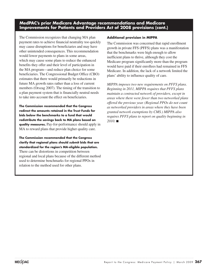**MedPAC's prior Medicare Advantage recommendations and Medicare Improvements for Patients and Providers Act of 2008 provisions (cont.)**

The Commission recognizes that changing MA plan payment rates to achieve financial neutrality too quickly may cause disruptions for beneficiaries and may have other unintended consequences. This recommendation would lower payments to plans in some areas, which may cause some plans to reduce the enhanced benefits they offer and their level of participation in the MA program—and reduce plan choice for some beneficiaries. The Congressional Budget Office (CBO) estimates that there would primarily be reductions in future MA growth rates rather than a loss of current members (Orszag 2007). The timing of the transition to a plan payment system that is financially neutral needs to take into account the effect on beneficiaries.

**The Commission recommended that the Congress redirect the amounts retained in the Trust Funds for bids below the benchmarks to a fund that would redistribute the savings back to MA plans based on quality measures.** Pay-for-performance should apply in MA to reward plans that provide higher quality care.

**The Commission recommended that the Congress clarify that regional plans should submit bids that are standardized for the region's MA-eligible population.**

There can be distortions in competition between regional and local plans because of the different method used to determine benchmarks for regional PPOs in relation to the method used for other plans.

#### **Additional provision in MIPPA**

The Commission was concerned that rapid enrollment growth in private FFS (PFFS) plans was a manifestation that the benchmarks were high enough to allow inefficient plans to thrive, although they cost the Medicare program significantly more than the program would have paid if their enrollees had remained in FFS Medicare. In addition, the lack of a network limited the plans' ability to influence quality of care.

*MIPPA imposes two new requirements on PFFS plans. Beginning in 2011, MIPPA requires that PFFS plans maintain a contracted network of providers, except in areas where there were fewer than two networked plans offered the previous year. (Regional PPOs do not count as networked providers in areas where they have been granted network exemptions by CMS.) MIPPA also requires PFFS plans to report on quality beginning in 2010.* ■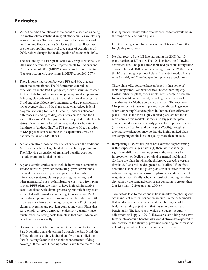## **Endnotes**

- 1 We define urban counties as those counties classified as being in a metropolitan statistical area; all other counties we classify as rural counties. To match more closely the designation of nonfloor and floor counties (including the urban floor), we use the metropolitan statistical area status of counties as of 2002, before changes in the designation of counties in 2003.
- 2 The availability of PFFS plans will likely drop substantially in 2011 when certain Medicare Improvements for Patients and Providers Act of 2008 (MIPPA) provisions become effective. (See text box on MA provisions in MIPPA, pp. 266–267.)
- 3 There is some interaction between FFS and MA that can affect the comparisons. The MA program can reduce expenditures in the Part D program, as we discuss in Chapter 4. Since bids for both stand-alone prescription drug plans and MA drug plan bids make up the overall national average Part D bid and affect Medicare's payments to drug plan sponsors, lower average bids by MA plans somewhat reduce federal program spending for Part D. Second, CMS has observed differences in coding of diagnoses between MA and the FFS sector. Because MA plan payments are adjusted for the health status of each enrollee based on these codes, to the extent that there is "undercoding" in FFS relative to MA, our ratios of MA payments in relation to FFS expenditures may be understated. (See CMS 2009.)
- 4 A plan can also choose to offer benefits beyond the traditional Medicare benefit package funded by beneficiary premiums. The following discussion of enhanced benefits does not include premium-funded benefits.
- 5 A plan's administrative costs include items such as member service activities, provider contracting, provider relations, medical management, quality improvement activities, information systems, claims processing, marketing, and other nonmedical costs. Administrative costs vary from plan to plan. PFFS plans are likely to have high administrative costs associated with claims processing but little if any costs associated with provider contracting. Generally, an HMO with salaried physicians that owns its own hospitals has little in the way of claims processing costs, while a PPO has both claims processing and provider contracting costs. Plans that serve employer-group enrollees exclusively generally have much lower marketing costs than plans that enroll Medicare beneficiaries individually.
- 6 Because we do not take into account the loading factor for Part D benefits that is determined through the Part D bid, the \$79 net figure is slightly higher than if we had applied the Part D loading factor to the benefit enhancements of drug coverage. If the Part D loading factor is similar to the MA bid

loading factor, the net value of enhanced benefits would be in the range of \$77 across all plans.

- 7 HEDIS is a registered trademark of the National Committee for Quality Assurance.
- 8 No plan received the full five-star rating for 2008, but 10 plans received a 4.5 rating. The 10 plans have the following characteristics: The plans are established plans including three cost-reimbursed HMO contracts dating from the 1980s. Six of the 10 plans are group model plans, 1 is a staff model, 1 is a mixed model, and 2 are independent practice associations.

These plans offer fewer enhanced benefits than some of their competitors, yet beneficiaries choose them anyway. Cost-reimbursed plans, for example, must charge a premium for any benefit enhancement, including the reduction of cost sharing for Medicare-covered services. The top-ranked MA plans do not have zero-premium benefit packages even when competing Medicare plans in their markets offer such plans. Because the most highly ranked plans are not in the most competitive markets, it may also suggest that plan competition does not necessarily guarantee improved quality (as shown by Scanlon and colleagues (2008)), though an alternative explanation may be that the highly ranked plans are competing on the basis of quality more than on cost.

- 9 In reporting HOS results, plans are classified as performing within expected ranges unless (1) there are statistically significant differences among plans in the measures for improvement or decline in physical or mental health, and (2) there are plans in which the difference exceeds a certain threshold. Plans will be designated as "outliers" if the first condition is met, and if a given plan's results differ from the national average results across all plans by a certain order of magnitude (specifically, when the result of dividing the plan deviation by the standard error of the deviation is greater than 2 or less than –2 (Rogers et al. 2004).)
- 10 Two factors lead to reductions in benchmarks: the phasing out of the indirect medical education amounts in the benchmarks that we discuss in this chapter, and the phasing out of the budget-neutrality adjustment that has served to increase benchmarks. The last year in which the budget-neutrality adjustment will apply is 2010. However, even taking these two factors into account, benchmarks would always be expected to rise because of the statutory provision requiring an increase of at least 2 percent each year in county benchmarks.